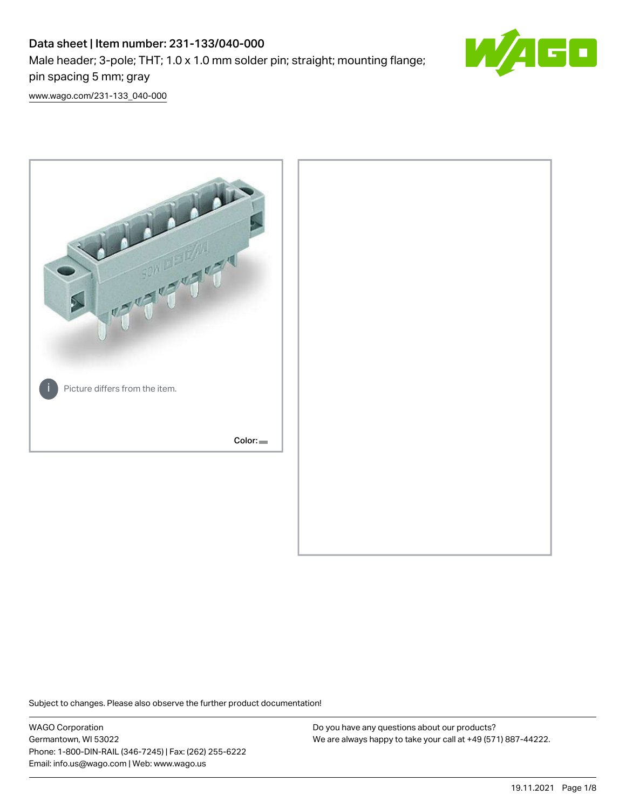# Data sheet | Item number: 231-133/040-000 Male header; 3-pole; THT; 1.0 x 1.0 mm solder pin; straight; mounting flange; pin spacing 5 mm; gray



[www.wago.com/231-133\\_040-000](http://www.wago.com/231-133_040-000)



Subject to changes. Please also observe the further product documentation!

WAGO Corporation Germantown, WI 53022 Phone: 1-800-DIN-RAIL (346-7245) | Fax: (262) 255-6222 Email: info.us@wago.com | Web: www.wago.us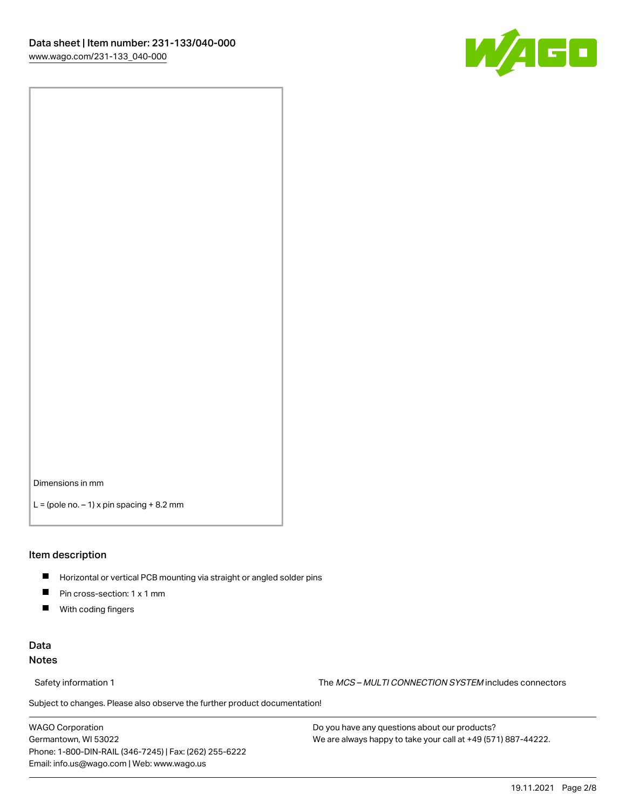

Dimensions in mm

 $L =$  (pole no.  $-1$ ) x pin spacing  $+8.2$  mm

#### Item description

- **Horizontal or vertical PCB mounting via straight or angled solder pins**
- **Pin cross-section: 1 x 1 mm**
- $\blacksquare$ With coding fingers

#### Data Notes

Safety information 1 The MCS – MULTI CONNECTION SYSTEM includes connectors

Subject to changes. Please also observe the further product documentation!  $\nu$ 

WAGO Corporation Germantown, WI 53022 Phone: 1-800-DIN-RAIL (346-7245) | Fax: (262) 255-6222 Email: info.us@wago.com | Web: www.wago.us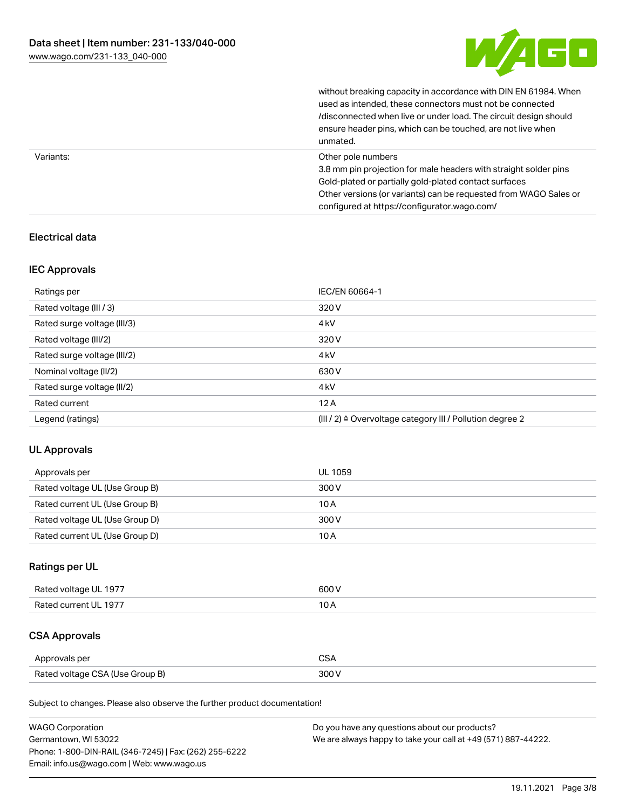

without breaking capacity in accordance with DIN EN 61984. When

|           | used as intended, these connectors must not be connected<br>/disconnected when live or under load. The circuit design should<br>ensure header pins, which can be touched, are not live when<br>unmated.                                                             |
|-----------|---------------------------------------------------------------------------------------------------------------------------------------------------------------------------------------------------------------------------------------------------------------------|
| Variants: | Other pole numbers<br>3.8 mm pin projection for male headers with straight solder pins<br>Gold-plated or partially gold-plated contact surfaces<br>Other versions (or variants) can be requested from WAGO Sales or<br>configured at https://configurator.wago.com/ |

### Electrical data

#### IEC Approvals

| Ratings per                 | IEC/EN 60664-1                                                        |
|-----------------------------|-----------------------------------------------------------------------|
| Rated voltage (III / 3)     | 320 V                                                                 |
| Rated surge voltage (III/3) | 4 <sub>kV</sub>                                                       |
| Rated voltage (III/2)       | 320 V                                                                 |
| Rated surge voltage (III/2) | 4 <sub>k</sub> V                                                      |
| Nominal voltage (II/2)      | 630 V                                                                 |
| Rated surge voltage (II/2)  | 4 <sub>k</sub> V                                                      |
| Rated current               | 12A                                                                   |
| Legend (ratings)            | $(III / 2)$ $\triangle$ Overvoltage category III / Pollution degree 2 |

#### UL Approvals

| Approvals per                  | UL 1059 |
|--------------------------------|---------|
| Rated voltage UL (Use Group B) | 300 V   |
| Rated current UL (Use Group B) | 10 A    |
| Rated voltage UL (Use Group D) | 300 V   |
| Rated current UL (Use Group D) | 10 A    |

### Ratings per UL

| Rated voltage UL 1977 | 600 V |
|-----------------------|-------|
| Rated current UL 1977 |       |

# CSA Approvals

| Approvals per                   |  |
|---------------------------------|--|
| Rated voltage CSA (Use Group B) |  |

Subject to changes. Please also observe the further product documentation!

| <b>WAGO Corporation</b>                                | Do you have any questions about our products?                 |
|--------------------------------------------------------|---------------------------------------------------------------|
| Germantown, WI 53022                                   | We are always happy to take your call at +49 (571) 887-44222. |
| Phone: 1-800-DIN-RAIL (346-7245)   Fax: (262) 255-6222 |                                                               |
| Email: info.us@wago.com   Web: www.wago.us             |                                                               |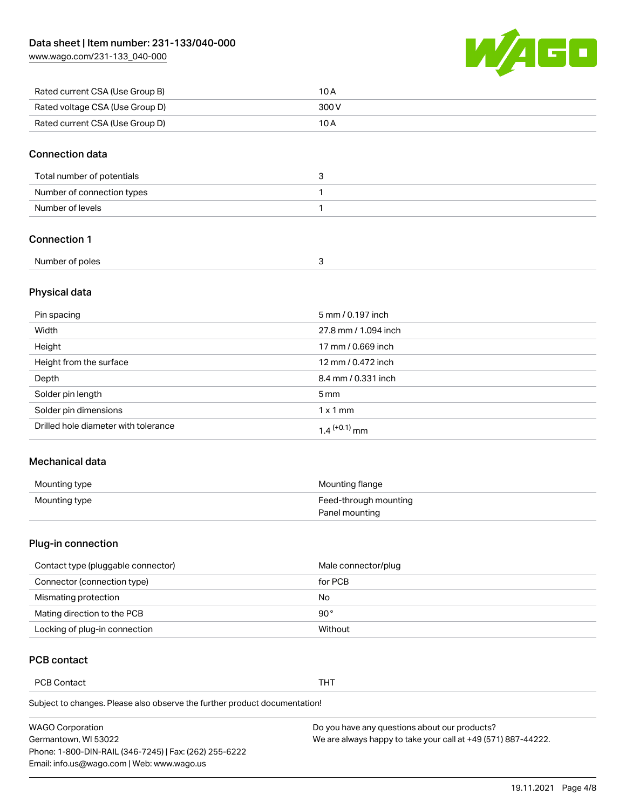[www.wago.com/231-133\\_040-000](http://www.wago.com/231-133_040-000)



| Rated current CSA (Use Group B) | 10 A  |
|---------------------------------|-------|
| Rated voltage CSA (Use Group D) | 300 V |
| Rated current CSA (Use Group D) | 10 A  |

#### Connection data

| Total number of potentials |  |
|----------------------------|--|
| Number of connection types |  |
| Number of levels           |  |

#### Connection 1

| Number of poles |  |
|-----------------|--|
|                 |  |

#### Physical data

| Pin spacing                          | 5 mm / 0.197 inch    |
|--------------------------------------|----------------------|
| Width                                | 27.8 mm / 1.094 inch |
| Height                               | 17 mm / 0.669 inch   |
| Height from the surface              | 12 mm / 0.472 inch   |
| Depth                                | 8.4 mm / 0.331 inch  |
| Solder pin length                    | $5 \,\mathrm{mm}$    |
| Solder pin dimensions                | $1 \times 1$ mm      |
| Drilled hole diameter with tolerance | $1.4$ $(+0.1)$ mm    |

#### Mechanical data

| Mounting type | Mounting flange       |
|---------------|-----------------------|
| Mounting type | Feed-through mounting |
|               | Panel mounting        |

#### Plug-in connection

| Contact type (pluggable connector) | Male connector/plug |
|------------------------------------|---------------------|
| Connector (connection type)        | for PCB             |
| Mismating protection               | No                  |
| Mating direction to the PCB        | 90 $^{\circ}$       |
| Locking of plug-in connection      | Without             |

### PCB contact

PCB Contact THT

Subject to changes. Please also observe the further product documentation!

| <b>WAGO Corporation</b>                                | Do you have any questions about our products?                 |
|--------------------------------------------------------|---------------------------------------------------------------|
| Germantown, WI 53022                                   | We are always happy to take your call at +49 (571) 887-44222. |
| Phone: 1-800-DIN-RAIL (346-7245)   Fax: (262) 255-6222 |                                                               |
| Email: info.us@wago.com   Web: www.wago.us             |                                                               |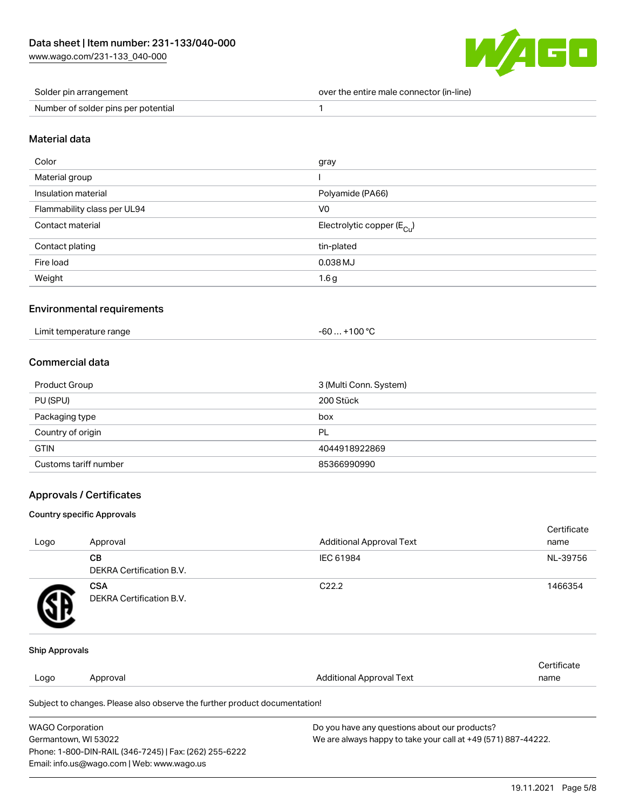[www.wago.com/231-133\\_040-000](http://www.wago.com/231-133_040-000)



| Solder pin arrangement              | over the entire male connector (in-line) |
|-------------------------------------|------------------------------------------|
| Number of solder pins per potential |                                          |

#### Material data

| Color                       | gray                                   |
|-----------------------------|----------------------------------------|
| Material group              |                                        |
| Insulation material         | Polyamide (PA66)                       |
| Flammability class per UL94 | V <sub>0</sub>                         |
| Contact material            | Electrolytic copper (E <sub>Cu</sub> ) |
| Contact plating             | tin-plated                             |
| Fire load                   | 0.038 MJ                               |
| Weight                      | 1.6 <sub>g</sub>                       |

### Environmental requirements

| Limit temperature range | $-60+100 °C$ |
|-------------------------|--------------|
|-------------------------|--------------|

### Commercial data

| <b>Product Group</b>  | 3 (Multi Conn. System) |
|-----------------------|------------------------|
| PU (SPU)              | 200 Stück              |
| Packaging type        | box                    |
| Country of origin     | PL                     |
| <b>GTIN</b>           | 4044918922869          |
| Customs tariff number | 85366990990            |

### Approvals / Certificates

#### Country specific Approvals

| Logo                  | Approval                                      | <b>Additional Approval Text</b> | Certificate<br>name |
|-----------------------|-----------------------------------------------|---------------------------------|---------------------|
|                       | CВ<br><b>DEKRA Certification B.V.</b>         | IEC 61984                       | NL-39756            |
| H?                    | <b>CSA</b><br><b>DEKRA Certification B.V.</b> | C <sub>22.2</sub>               | 1466354             |
| <b>Ship Approvals</b> |                                               |                                 |                     |
| Logo                  | Approval                                      | <b>Additional Approval Text</b> | Certificate<br>name |

Subject to changes. Please also observe the further product documentation!

| WAGO Corporation                                       | Do you have any questions about our products?                 |
|--------------------------------------------------------|---------------------------------------------------------------|
| Germantown, WI 53022                                   | We are always happy to take your call at +49 (571) 887-44222. |
| Phone: 1-800-DIN-RAIL (346-7245)   Fax: (262) 255-6222 |                                                               |
| Email: info.us@wago.com   Web: www.wago.us             |                                                               |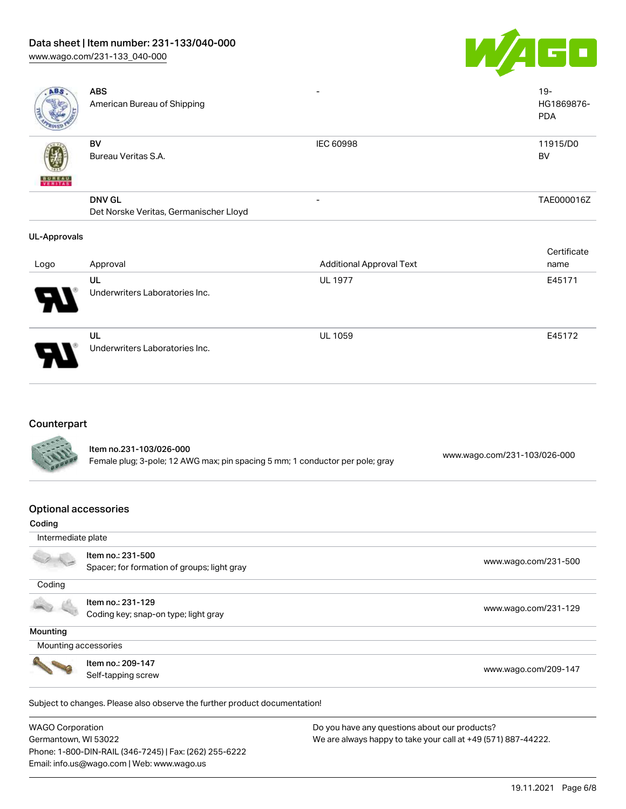# Data sheet | Item number: 231-133/040-000

[www.wago.com/231-133\\_040-000](http://www.wago.com/231-133_040-000)



| ABS                 | <b>ABS</b><br>American Bureau of Shipping |                  | $19 -$<br>HG1869876-<br><b>PDA</b> |
|---------------------|-------------------------------------------|------------------|------------------------------------|
| <b>BUREAU</b>       | BV<br>Bureau Veritas S.A.                 | <b>IEC 60998</b> | 11915/D0<br>BV                     |
|                     | <b>DNV GL</b>                             | ۰                | TAE000016Z                         |
|                     | Det Norske Veritas, Germanischer Lloyd    |                  |                                    |
| <b>UL-Approvals</b> |                                           |                  | Certificate                        |

| Logo | Approval                             | <b>Additional Approval Text</b> | name   |
|------|--------------------------------------|---------------------------------|--------|
| Ъ.   | UL<br>Underwriters Laboratories Inc. | <b>UL 1977</b>                  | E45171 |
| Э.   | UL<br>Underwriters Laboratories Inc. | <b>UL 1059</b>                  | E45172 |

# **Counterpart**

| <b>CONTRACTOR</b> | Item no.231-103/026-000<br>Female plug; 3-pole; 12 AWG max; pin spacing 5 mm; 1 conductor per pole; gray | www.wago.com/231-103/026-000 |
|-------------------|----------------------------------------------------------------------------------------------------------|------------------------------|
|                   |                                                                                                          |                              |

### Optional accessories

Phone: 1-800-DIN-RAIL (346-7245) | Fax: (262) 255-6222

Email: info.us@wago.com | Web: www.wago.us

| Coding                  |                                                                            |                                                               |
|-------------------------|----------------------------------------------------------------------------|---------------------------------------------------------------|
| Intermediate plate      |                                                                            |                                                               |
|                         | Item no.: 231-500                                                          | www.wago.com/231-500                                          |
|                         | Spacer; for formation of groups; light gray                                |                                                               |
| Coding                  |                                                                            |                                                               |
|                         | Item no.: 231-129                                                          |                                                               |
|                         | Coding key; snap-on type; light gray                                       | www.wago.com/231-129                                          |
| Mounting                |                                                                            |                                                               |
|                         | Mounting accessories                                                       |                                                               |
|                         | Item no.: 209-147                                                          |                                                               |
|                         | Self-tapping screw                                                         | www.wago.com/209-147                                          |
|                         | Subject to changes. Please also observe the further product documentation! |                                                               |
| <b>WAGO Corporation</b> |                                                                            | Do you have any questions about our products?                 |
| Germantown, WI 53022    |                                                                            | We are always happy to take your call at +49 (571) 887-44222. |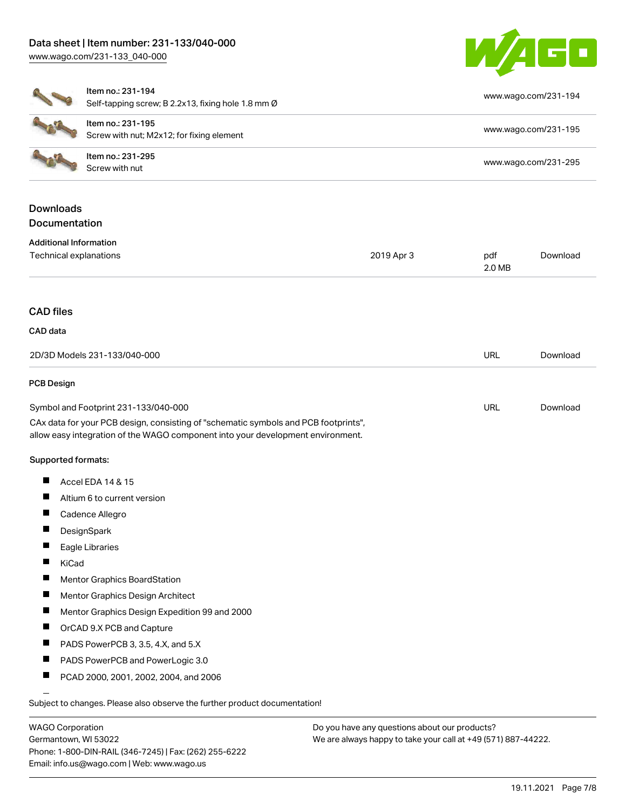### Data sheet | Item number: 231-133/040-000 [www.wago.com/231-133\\_040-000](http://www.wago.com/231-133_040-000)



|                                     | Item no.: 231-194<br>Self-tapping screw; B 2.2x13, fixing hole 1.8 mm Ø                                                                                                |                      |               | www.wago.com/231-194 |
|-------------------------------------|------------------------------------------------------------------------------------------------------------------------------------------------------------------------|----------------------|---------------|----------------------|
|                                     | Item no.: 231-195<br>Screw with nut; M2x12; for fixing element                                                                                                         |                      |               | www.wago.com/231-195 |
| Item no.: 231-295<br>Screw with nut |                                                                                                                                                                        | www.wago.com/231-295 |               |                      |
| <b>Downloads</b><br>Documentation   |                                                                                                                                                                        |                      |               |                      |
| <b>Additional Information</b>       |                                                                                                                                                                        |                      |               |                      |
| Technical explanations              |                                                                                                                                                                        | 2019 Apr 3           | pdf<br>2.0 MB | Download             |
| <b>CAD files</b>                    |                                                                                                                                                                        |                      |               |                      |
| CAD data                            |                                                                                                                                                                        |                      |               |                      |
|                                     | 2D/3D Models 231-133/040-000                                                                                                                                           |                      | URL           | Download             |
| <b>PCB Design</b>                   |                                                                                                                                                                        |                      |               |                      |
|                                     | Symbol and Footprint 231-133/040-000                                                                                                                                   |                      | URL           | Download             |
|                                     | CAx data for your PCB design, consisting of "schematic symbols and PCB footprints",<br>allow easy integration of the WAGO component into your development environment. |                      |               |                      |
| Supported formats:                  |                                                                                                                                                                        |                      |               |                      |
| H.                                  | Accel EDA 14 & 15                                                                                                                                                      |                      |               |                      |
| u.                                  | Altium 6 to current version                                                                                                                                            |                      |               |                      |
|                                     | Cadence Allegro                                                                                                                                                        |                      |               |                      |
|                                     | DesignSpark                                                                                                                                                            |                      |               |                      |
| Ш                                   | Eagle Libraries                                                                                                                                                        |                      |               |                      |
| ш<br>KiCad                          |                                                                                                                                                                        |                      |               |                      |
|                                     | <b>Mentor Graphics BoardStation</b>                                                                                                                                    |                      |               |                      |
| ш                                   | Mentor Graphics Design Architect                                                                                                                                       |                      |               |                      |
| ш                                   | Mentor Graphics Design Expedition 99 and 2000                                                                                                                          |                      |               |                      |
| H.                                  | OrCAD 9.X PCB and Capture                                                                                                                                              |                      |               |                      |
| ш                                   | PADS PowerPCB 3, 3.5, 4.X, and 5.X                                                                                                                                     |                      |               |                      |
| ш                                   | PADS PowerPCB and PowerLogic 3.0                                                                                                                                       |                      |               |                      |
| П                                   | PCAD 2000, 2001, 2002, 2004, and 2006                                                                                                                                  |                      |               |                      |
|                                     | Subject to changes. Please also observe the further product documentation!                                                                                             |                      |               |                      |
|                                     |                                                                                                                                                                        |                      |               |                      |